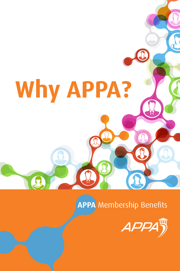# **Why APPA?**

**APPA** Membership Benefits

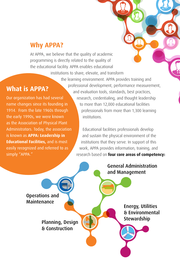# **Why APPA?**

At APPA, we believe that the quality of academic programming is directly related to the quality of the educational facility. APPA enables educational

institutions to share, elevate, and transform

# **What is APPA?**

Our organization has had several name changes since its founding in 1914. From the late 1960s through the early 1990s, we were known as the Association of Physical Plant Administrators. Today, the association is known as APPA: Leadership in **Educational Facilities, and is most** easily recognized and referred to as simply "APPA."

the learning environment. APPA provides training and professional development, performance measurement, and evaluation tools, standards, best practices, research, credentialing, and thought leadership to more than 12,000 educational facilities professionals from more than 1,300 learning institutions.

> Educational facilities professionals develop and sustain the physical environment of the institutions that they serve. In support of this work, APPA provides information, training, and research based on **four core areas of competency:**

> > General Administration and Management

Operations and Maintenance

> Planning, Design **Planning**, Design **Planning** & Construction

Energy, Utilities & Environmental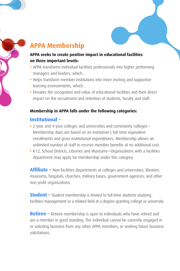

#### **APPA seeks to create positive impact in educational facilities on three important levels:**

- **•** APPA transforms individual facilities professionals into higher performing managers and leaders, which...
- **•** Helps transform member institutions into more inviting and supportive learning environments, which...
- **•** Elevates the recognition and value of educational facilities and their direct impact on the recruitment and retention of students, faculty and staff.

#### **Membership in APPA falls under the following categories:**

# **Institutional –**

- **•** 2-year and 4-year colleges and universities and community colleges— Membership dues are based on an institution's full time equivalent enrollments and gross institutional expenditures. Membership allows an unlimited number of staff to receive member benefits at no additional cost.
- **•** K-12, School Districts, Libraries and Museums—Organizations with a facilities department may apply for membership under this category.

**Affiliate –** Non-facilities departments at colleges and universities; libraries; museums; hospitals; churches; military bases; government agencies; and other non-profit organizations.

**Student –** Student membership is limited to full-time students studying facilities management or a related field at a degree-granting college or university.

**Retiree** – Retiree membership is open to individuals who have retired and are a member in good standing. The individual cannot be currently engaged in or soliciting business from any other APPA members, or seeking future business solicitations.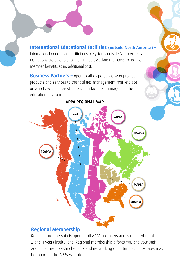**International Educational Facilities (outside North America) –** International educational institutions or systems outside North America. Institutions are able to attach unlimited associate members to receive member benefits at no additional cost.

**Business Partners - open to all corporations who provide** products and services to the facilities management marketplace or who have an interest in reaching facilities managers in the education environment.



#### **APPA REGIONAL MAP**

# **Regional Membership**

Regional membership is open to all APPA members and is required for all 2 and 4 years institutions. Regional membership affords you and your staff additional membership benefits and networking opportunities. Dues rates may be found on the APPA website.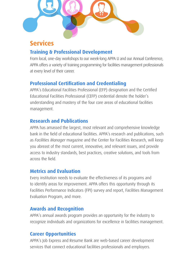

# **Services**

# **Training & Professional Development**

From local, one-day workshops to our week-long APPA U and our Annual Conference, APPA offers a variety of training programming for facilities management professionals at every level of their career.

# **Professional Certification and Credentialing**

APPA's Educational Facilities Professional (EFP) designation and the Certified Educational Facilities Professional (CEFP) credential denote the holder's understanding and mastery of the four core areas of educational facilities management.

# **Research and Publications**

APPA has amassed the largest, most relevant and comprehensive knowledge bank in the field of educational facilities. APPA's research and publications, such as *Facilities Manager* magazine and the Center for Facilities Research, will keep you abreast of the most current, innovative, and relevant issues, and provide access to industry standards, best practices, creative solutions, and tools from across the field.

# **Metrics and Evaluation**

Every institution needs to evaluate the effectiveness of its programs and to identify areas for improvement. APPA offers this opportunity through its Facilities Performance Indicators (FPI) survey and report, Facilities Management Evaluation Program, and more.

# **Awards and Recognition**

APPA's annual awards program provides an opportunity for the industry to recognize individuals and organizations for excellence in facilities management.

# **Career Opportunities**

APPA's Job Express and Resume Bank are web-based career development services that connect educational facilities professionals and employers.